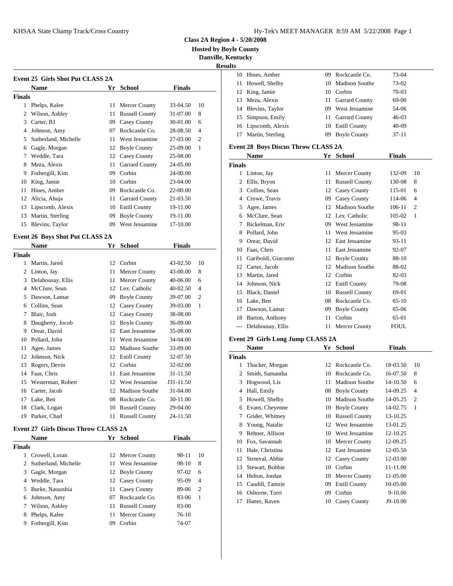#### KHSAA State Champ Track/Cross Country The Country Hy-Tek's MEET MANAGER 8:59 AM 5/22/2008 Page 1

**Class 2A Region 4 - 5/20/2008**

**Hosted by Boyle County**

**Danville, Kentucky**

# **Result**

|        | <b>Event 25 Girls Shot Put CLASS 2A</b> |    |                       |               |                | 10.           | Hines, Amber                         | U9. | Rockcastle Co.                                                     | 73-04         |                |
|--------|-----------------------------------------|----|-----------------------|---------------|----------------|---------------|--------------------------------------|-----|--------------------------------------------------------------------|---------------|----------------|
|        | <b>Name</b>                             |    | Yr School             | <b>Finals</b> |                |               | 11 Howell, Shelby                    | 10  | <b>Madison Southe</b>                                              | 73-02         |                |
| Finals |                                         |    |                       |               |                | 12            | King, Jamie                          |     | 10 Corbin                                                          | 70-03         |                |
|        | Phelps, Kalee                           |    | 11 Mercer County      | 33-04.50      | 10             |               | 13 Meza, Alexis                      | 11  | <b>Garrard County</b>                                              | 69-00         |                |
|        | 2 Wilson, Ashley                        | 11 | <b>Russell County</b> | 31-07.00      | 8              |               | 14 Blevins, Taylor                   | 09  | West Jessamine                                                     | 54-06         |                |
|        |                                         |    |                       |               |                | 15            | Simpson, Emily                       | 11  | <b>Garrard County</b>                                              | $46 - 03$     |                |
| 3      | Carter, BJ                              | 09 | <b>Casey County</b>   | 30-01.00      | 6              |               | 16 Lipscomb, Alexis                  |     | 10 Estill County                                                   | $40 - 09$     |                |
|        | Johnson, Amy                            | 07 | Rockcastle Co.        | 28-08.50      | $\overline{4}$ | 17            | Martin, Sterling                     | 09  | <b>Boyle County</b>                                                | $37 - 11$     |                |
|        | Sutherland, Michelle                    |    | West Jessamine        | 27-03.00      | $\overline{2}$ |               |                                      |     |                                                                    |               |                |
| 6      | Gagle, Morgan                           | 12 | <b>Boyle County</b>   | 25-09.00      | -1             |               | Event 28 Boys Discus Throw CLASS 2A  |     |                                                                    |               |                |
|        | Weddle, Tara                            | 12 | <b>Casey County</b>   | 25-08.00      |                |               | <b>Name</b>                          |     | Yr School                                                          | <b>Finals</b> |                |
|        | Meza, Alexis                            | 11 | <b>Garrard County</b> | 24-05.00      |                | <b>Finals</b> |                                      |     |                                                                    |               |                |
|        | Fothergill, Kim                         | 09 | Corbin                | 24-00.00      |                |               | 1 Linton, Jay                        | 11. | <b>Mercer County</b>                                               | 132-09        | -10            |
|        | King, Jamie                             | 10 | Corbin                | 23-04.00      |                | 2             | Ellis, Bryon                         | 11  | <b>Russell County</b>                                              | 130-08        | 8              |
|        | Hines, Amber                            | 09 | Rockcastle Co.        | 22-00.00      |                | 3             | Collins, Sean                        | 12  | <b>Casey County</b>                                                | 115-01        | -6             |
|        | Alicia, Ahuja                           |    | <b>Garrard County</b> | 21-03.50      |                |               | 4 Crowe, Travis                      | 09  | <b>Casey County</b>                                                | 114-06        | $\overline{4}$ |
|        | Lipscomb, Alexis                        | 10 | <b>Estill County</b>  | 19-11.00      |                | 5             | Agee, James                          |     | <b>Madison Southe</b>                                              | 106-11        | 2              |
|        | Martin, Sterling                        | 09 | <b>Boyle County</b>   | 19-11.00      |                |               | 6 McClure, Sean                      |     | 12 Lex. Catholic                                                   | 105-02        |                |
| 15     | Blevins, Taylor                         | 09 | West Jessamine        | 17-10.00      |                |               | Bickelman, Eric                      | 09  | West Jessamine                                                     | 98-11         |                |
|        | <b>Event 26 Boys Shot Put CLASS 2A</b>  |    |                       |               |                | 8             | Pollard, John                        | 11  | West Jessamine                                                     | $95-03$       |                |
|        |                                         |    |                       |               |                |               | 9 Orear, David                       |     | 12 East Jessamine                                                  | $93 - 11$     |                |
|        | <b>Name</b>                             |    | Yr School             | <b>Finals</b> |                | 10            | Faas, Chris                          | 11  | East Jessamine                                                     | 92-07         |                |
| Finals |                                         |    |                       |               |                |               | Gariboldi, Giacomo                   |     | 12 Boyle County                                                    | 88-10         |                |
|        | Martin, Jared                           | 12 | Corbin                | 43-02.50      | 10             | 12            | Carter, Jacob                        | 12  | <b>Madison Southe</b>                                              | 88-02         |                |
|        | Linton, Jay                             | 11 | Mercer County         | 43-00.00      | 8              | 13            | Martin, Jared                        |     | 12 Corbin                                                          | 82-03         |                |
|        | Delahousay, Ellis                       |    | <b>Mercer County</b>  | 40-06.00      | 6              | 14            | Johnson, Nick                        |     | 12 Estill County                                                   | 79-08         |                |
|        | 4 McClure, Sean                         | 12 | Lex. Catholic         | $40 - 02.50$  | $\overline{4}$ |               | $17 \, \text{m}$ $1 \, \text{m}$ $1$ |     | $10 \quad \mathbf{D} \qquad 11 \quad \mathbf{C} \qquad \mathbf{D}$ | $\sim$ 0.1    |                |

|    | 3 Delahousay, Ellis  | 11 | <b>Mercer County</b>  | 40-06.00     | 6              |               | 14 John |
|----|----------------------|----|-----------------------|--------------|----------------|---------------|---------|
|    | McClure, Sean        |    | 12 Lex. Catholic      | $40 - 02.50$ | $\overline{4}$ | 15            | Blac    |
| 5. | Dawson, Lamar        | 09 | <b>Boyle County</b>   | 39-07.00     | 2              |               | 16 Lake |
| 6  | Collins, Sean        |    | 12 Casey County       | 39-03.00     | 1              | 17            | Daw     |
| 7  | Blair, Josh          |    | 12 Casey County       | 38-08.00     |                |               |         |
| 8  | Daugherty, Jocob     |    | 12 Boyle County       | 36-09.00     |                | 18            | Bart    |
| 9  | Orear, David         |    | 12 East Jessamine     | 35-08.00     |                | $---$         | Dela    |
| 10 | Pollard, John        | 11 | West Jessamine        | 34-04.00     |                | Event 29      |         |
| 11 | Agee, James          |    | 12 Madison Southe     | 33-09.00     |                |               | Nan     |
| 12 | Johnson, Nick        |    | 12 Estill County      | 32-07.50     |                | <b>Finals</b> |         |
| 13 | Rogers, Devin        |    | 12 Corbin             | 32-02.00     |                |               | Thac    |
| 14 | Faas, Chris          | 11 | East Jessamine        | 31-11.50     |                | 2             | Smit    |
|    | 15 Westerman, Robert |    | 12 West Jessamine     | J31-11.50    |                | 3             | Hog     |
|    | 16 Carter, Jacob     |    | 12 Madison Southe     | 31-04.00     |                | 4             | Hall    |
| 17 | Lake, Ben            |    | 08 Rockcastle Co.     | 30-11.00     |                | 5.            | How     |
| 18 | Clark, Logan         | 10 | <b>Russell County</b> | 29-04.00     |                | 6             | Evar    |
| 19 | Parker, Chad         | 11 | <b>Russell County</b> | 24-11.50     |                |               | Grid    |

## **Event 27 Girls Discus Throw CLASS 2A**

|        | <b>Name</b>            |    | Yr School         | <b>Finals</b> |                | ч  | <b>Rehne</b> |
|--------|------------------------|----|-------------------|---------------|----------------|----|--------------|
| Finals |                        |    |                   |               |                |    | 10 Fox, 9    |
|        | Crowell, Loran         |    | 12 Mercer County  | 98-11         | 10             | 11 | Hale,        |
|        |                        |    | 11 West Jessamine | 98-10         | 8              |    | 12 Streev    |
|        | 2 Sutherland, Michelle |    |                   |               |                |    | 13 Stewa     |
|        | 3 Gagle, Morgan        |    | 12 Boyle County   | 97-02         | -6             |    | 14 Helto     |
|        | 4 Weddle, Tara         |    | 12 Casey County   | 95-09         | $\overline{4}$ |    | 15 Caudi     |
|        | 5 Burke, Nataushia     |    | 11 Casey County   | 89-06         | - 2            |    | 16 Osbor     |
| 6      | Johnson, Amy           | 07 | Rockcastle Co.    | 83-06         | - 1            | 17 | Hatter       |
|        | Wilson, Ashley         |    | 11 Russell County | 83-00         |                |    |              |
| 8      | Phelps, Kalee          |    | 11 Mercer County  | $76-10$       |                |    |              |
| 9      | Fothergill, Kim        | 09 | Corbin            | 74-07         |                |    |              |

| www.cas |                     |     |                       |           |
|---------|---------------------|-----|-----------------------|-----------|
| ts      |                     |     |                       |           |
| 10      | Hines, Amber        | 09  | Rockcastle Co.        | 73-04     |
| 11      | Howell, Shelby      |     | 10 Madison Southe     | 73-02     |
|         | 12 King, Jamie      |     | 10 Corbin             | 70-03     |
| 13      | Meza, Alexis        |     | 11 Garrard County     | 69-00     |
|         | 14 Blevins, Taylor  | 09. | West Jessamine        | 54-06     |
|         | 15 Simpson, Emily   | 11  | <b>Garrard County</b> | $46-03$   |
|         | 16 Lipscomb, Alexis | 10  | Estill County         | $40-09$   |
| 17      | Martin, Sterling    | 09  | <b>Boyle County</b>   | $37 - 11$ |
|         |                     |     |                       |           |

|        | Name               | Yr | <b>School</b>         | <b>Finals</b> |                |
|--------|--------------------|----|-----------------------|---------------|----------------|
| Finals |                    |    |                       |               |                |
| 1      | Linton, Jay        | 11 | Mercer County         | 132-09        | 10             |
| 2      | Ellis, Bryon       | 11 | <b>Russell County</b> | 130-08        | 8              |
| 3      | Collins, Sean      | 12 | Casey County          | 115-01        | 6              |
| 4      | Crowe, Travis      | 09 | Casey County          | 114-06        | 4              |
| 5      | Agee, James        | 12 | <b>Madison Southe</b> | 106-11        | $\overline{2}$ |
| 6      | McClure, Sean      | 12 | Lex. Catholic         | 105-02        | 1              |
| 7      | Bickelman, Eric    | 09 | West Jessamine        | 98-11         |                |
| 8      | Pollard, John      | 11 | West Jessamine        | 95-03         |                |
| 9      | Orear, David       | 12 | East Jessamine        | $93 - 11$     |                |
| 10     | Faas, Chris        | 11 | East Jessamine        | 92-07         |                |
| 11     | Gariboldi, Giacomo | 12 | <b>Boyle County</b>   | 88-10         |                |
| 12     | Carter, Jacob      | 12 | <b>Madison Southe</b> | 88-02         |                |
| 13     | Martin, Jared      | 12 | Corbin                | 82-03         |                |
| 14     | Johnson, Nick      | 12 | <b>Estill County</b>  | 79-08         |                |
| 15     | Black, Daniel      | 10 | <b>Russell County</b> | 69-01         |                |
| 16     | Lake, Ben          | 08 | Rockcastle Co.        | $65-10$       |                |
| 17     | Dawson, Lamar      | 09 | <b>Boyle County</b>   | 65-06         |                |
| 18     | Barton, Anthony    | 11 | Corbin                | 65-01         |                |
| $---$  | Delahousay, Ellis  | 11 | Mercer County         | <b>FOUL</b>   |                |
|        |                    |    |                       |               |                |

### **Event 29 Girls Long Jump CLASS 2A**

|        | Name            | Yr | <b>School</b>         | <b>Finals</b> |                |
|--------|-----------------|----|-----------------------|---------------|----------------|
| Finals |                 |    |                       |               |                |
| 1      | Thacker, Morgan |    | 12 Rockcastle Co.     | 18-03.50      | 10             |
| 2      | Smith, Samantha | 10 | Rockcastle Co.        | 16-07.50      | 8              |
| 3      | Hogwood, Liz    | 11 | <b>Madison Southe</b> | 14-10.50      | 6              |
| 4      | Hall, Emily     | 08 | <b>Boyle County</b>   | 14-09.25      | $\overline{4}$ |
| 5      | Howell, Shelby  | 10 | <b>Madison Southe</b> | 14-05.25      | $\overline{2}$ |
| 6      | Evans, Cheyenne | 10 | <b>Boyle County</b>   | 14-02.75      | 1              |
| 7      | Grider, Whitney | 10 | <b>Russell County</b> | 13-10.25      |                |
| 8      | Young, Natalie  | 12 | West Jessamine        | 13-01.25      |                |
| 9      | Rehner, Allison | 10 | West Jessamine        | 12-10.25      |                |
| 10     | Fox, Savannah   | 10 | Mercer County         | 12-09.25      |                |
| 11     | Hale, Christina | 12 | East Jessamine        | 12-05.50      |                |
| 12     | Streeval, Abbie |    | 12 Casey County       | 12-03.00      |                |
| 13     | Stewart, Bobbie | 10 | Corbin                | 11-11.00      |                |
| 14     | Helton, Jordan  | 10 | Mercer County         | 11-05.00      |                |
| 15     | Caudill, Tamzie | 09 | <b>Estill County</b>  | 10-05.00      |                |
| 16     | Osborne, Torri  | 09 | Corbin                | 9-10.00       |                |
| 17     | Hatter, Raven   | 10 | Casey County          | J9-10.00      |                |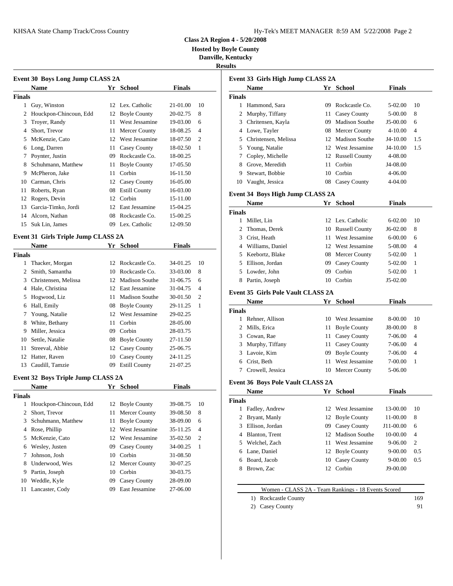| Iy-Tek's MEET MANAGER 8:59 AM 5/22/2008 Page 2 |  |  |  |
|------------------------------------------------|--|--|--|
|------------------------------------------------|--|--|--|

**Class 2A Region 4 - 5/20/2008**

**Hosted by Boyle County**

**Danville, Kentucky**

**Results**

|               | Event 30 Boys Long Jump CLASS 2A    |    |                       |               |                |                | Event 33 G |
|---------------|-------------------------------------|----|-----------------------|---------------|----------------|----------------|------------|
|               | <b>Name</b>                         |    | Yr School             | <b>Finals</b> |                |                | <b>Nam</b> |
| <b>Finals</b> |                                     |    |                       |               |                | <b>Finals</b>  |            |
| 1             | Guy, Winston                        |    | 12 Lex. Catholic      | 21-01.00      | 10             | 1.             | Hamr       |
| 2             | Houckpon-Chincoun, Edd              | 12 | <b>Boyle County</b>   | 20-02.75      | 8              | 2              | Murp       |
| 3             | Troyer, Randy                       | 11 | West Jessamine        | 19-03.00      | 6              | 3              | Chrite     |
| 4             | Short, Trevor                       | 11 | Mercer County         | 18-08.25      | $\overline{4}$ | 4              | Lowe       |
| 5             | McKenzie, Cato                      | 12 | West Jessamine        | 18-07.50      | 2              | 5              | Christ     |
| 6             | Long, Darren                        | 11 | Casey County          | 18-02.50      | 1              | 5              | Youn       |
| 7             | Poynter, Justin                     | 09 | Rockcastle Co.        | 18-00.25      |                |                | Cople      |
| 8             | Schuhmann, Matthew                  | 11 | <b>Boyle County</b>   | 17-05.50      |                | 8              | Grove      |
| 9             | McPheron, Jake                      | 11 | Corbin                | 16-11.50      |                | 9              | Stewa      |
| 10            | Carman, Chris                       | 12 | <b>Casey County</b>   | 16-05.00      |                | 10             | Vaugl      |
| 11            | Roberts, Ryan                       | 08 | <b>Estill County</b>  | 16-03.00      |                |                |            |
| 12            | Rogers, Devin                       | 12 | Corbin                | 15-11.00      |                |                | Event 34 B |
| 13            | Garcia-Timko, Jordi                 | 12 | East Jessamine        | 15-04.25      |                |                | <b>Nam</b> |
| 14            | Alcorn, Nathan                      | 08 | Rockcastle Co.        | 15-00.25      |                | <b>Finals</b>  |            |
| 15            | Suk Lin, James                      |    | 09 Lex. Catholic      | 12-09.50      |                | 1              | Millet     |
|               |                                     |    |                       |               |                | $\overline{c}$ | Thom       |
|               | Event 31 Girls Triple Jump CLASS 2A |    |                       |               |                | 3              | Crist,     |
|               | <b>Name</b>                         |    | Yr School             | <b>Finals</b> |                |                | Willia     |
| <b>Finals</b> |                                     |    |                       |               |                | 5              | Keebo      |
| 1             | Thacker, Morgan                     | 12 | Rockcastle Co.        | 34-01.25      | 10             | 5              | Elliso     |
| 2             | Smith, Samantha                     | 10 | Rockcastle Co.        | 33-03.00      | 8              | 5              | Lowd       |
| 3             | Christensen, Melissa                | 12 | Madison Southe        | 31-06.75      | 6              | 8              | Partin     |
| 4             | Hale, Christina                     | 12 | East Jessamine        | 31-04.75      | $\overline{4}$ |                | Event 35 G |
| 5             | Hogwood, Liz                        | 11 | <b>Madison Southe</b> | 30-01.50      | $\overline{2}$ |                |            |
|               |                                     |    |                       |               |                |                | Nam        |

# Hall, Emily 08 Boyle County 29-11.25 1 Young, Natalie 12 West Jessamine 29-02.25 White, Bethany 11 Corbin 28-05.00 Miller, Jessica 09 Corbin 28-03.75 Settle, Natalie 08 Boyle County 27-11.50 Streeval, Abbie 12 Casey County 25-06.75 Hatter, Raven 10 Casey County 24-11.25 Caudill, Tamzie 09 Estill County 21-07.25

### **Event 32 Boys Triple Jump CLASS 2A**

|         | <b>Name</b>                                                                          |          | Yr School                                                                   | <b>Finals</b>                                |                                  | етене је п                     |                                          |
|---------|--------------------------------------------------------------------------------------|----------|-----------------------------------------------------------------------------|----------------------------------------------|----------------------------------|--------------------------------|------------------------------------------|
| Finals  |                                                                                      |          |                                                                             |                                              |                                  |                                | <b>Nam</b>                               |
| 2       | 1 Houckpon-Chincoun, Edd<br>Short, Trevor<br>3 Schuhmann, Matthew<br>4 Rose, Phillip |          | 12 Boyle County<br>11 Mercer County<br>11 Boyle County<br>12 West Jessamine | 39-08.75<br>39-08.50<br>38-09.00<br>35-11.25 | 10<br>8<br>6<br>$\overline{4}$   | <b>Finals</b><br>$\mathcal{F}$ | Fadle<br>2 Bryan<br>Elliso               |
|         | 5 McKenzie, Cato<br>6 Wesley, Justen<br>Johnson, Josh                                |          | 12 West Jessamine<br>09 Casey County<br>10 Corbin                           | 35-02.50<br>34-00.25<br>31-08.50             | $\overline{c}$<br>$\overline{1}$ |                                | 4 Blant<br>5 Welcl<br>6 Lane,<br>6 Board |
| 8<br>11 | Underwood, Wes<br>9 Partin, Joseph<br>10 Weddle, Kyle<br>Lancaster, Cody             | 09<br>09 | 12 Mercer County<br>10 Corbin<br>Casey County<br>East Jessamine             | 30-07.25<br>30-03.75<br>28-09.00<br>27-06.00 |                                  | 8.                             | <b>Brow</b>                              |

|               | Event 33 Girls High Jump CLASS 2A                   |    |                       |               |                |
|---------------|-----------------------------------------------------|----|-----------------------|---------------|----------------|
|               | Name                                                |    | Yr School             | <b>Finals</b> |                |
| <b>Finals</b> |                                                     |    |                       |               |                |
|               | 1 Hammond, Sara                                     |    | 09 Rockcastle Co.     | 5-02.00       | 10             |
|               | 2 Murphy, Tiffany                                   |    | 11 Casey County       | 5-00.00       | 8              |
|               | 3 Chritensen, Kayla                                 |    | 09 Madison Southe     | J5-00.00      | 6              |
|               | 4 Lowe, Tayler                                      |    | 08 Mercer County      | 4-10.00       | 4              |
|               | 5 Christensen, Melissa                              |    | 12 Madison Southe     | J4-10.00      | 1.5            |
|               | 5 Young, Natalie                                    |    | 12 West Jessamine     | J4-10.00      | 1.5            |
| 7             | Copley, Michelle                                    |    | 12 Russell County     | 4-08.00       |                |
|               | 8 Grove, Meredith                                   |    | 11 Corbin             | J4-08.00      |                |
| 9             | Stewart, Bobbie                                     |    | 10 Corbin             | 4-06.00       |                |
|               | 10 Vaught, Jessica                                  |    | 08 Casey County       | 4-04.00       |                |
|               | Event 34 Boys High Jump CLASS 2A                    |    |                       |               |                |
|               | Name                                                |    | Yr School             | <b>Finals</b> |                |
| <b>Finals</b> |                                                     |    |                       |               |                |
|               | 1 Millet, Lin                                       |    | 12 Lex. Catholic      | 6-02.00       | 10             |
|               | 2 Thomas, Derek                                     |    | 10 Russell County     | $J6-02.00$    | 8              |
| 3             | Crist, Heath                                        |    | 11 West Jessamine     | 6-00.00       | 6              |
|               | 4 Williams, Daniel                                  |    | 12 West Jessamine     | 5-08.00       | 4              |
| 5             | Keebortz, Blake                                     |    | 08 Mercer County      | 5-02.00       | 1              |
|               | 5 Ellison, Jordan                                   |    | 09 Casey County       | 5-02.00       | 1              |
|               | 5 Lowder, John                                      |    | 09 Corbin             | 5-02.00       | 1              |
| 8             | Partin, Joseph                                      |    | 10 Corbin             | J5-02.00      |                |
|               |                                                     |    |                       |               |                |
|               | <b>Event 35 Girls Pole Vault CLASS 2A</b>           |    |                       |               |                |
|               | Name                                                |    | Yr School             | <b>Finals</b> |                |
| Finals        |                                                     |    |                       |               |                |
|               | 1 Rehner, Allison                                   |    | 10 West Jessamine     | 8-00.00       | 10             |
|               | 2 Mills, Erica                                      |    | 11 Boyle County       | J8-00.00      | 8              |
|               | 3 Cowan, Rae                                        |    | 11 Casey County       | 7-06.00       | 4              |
|               | 3 Murphy, Tiffany                                   |    | 11 Casey County       | 7-06.00       | 4              |
|               | 3 Lavoie, Kim                                       |    | 09 Boyle County       | 7-06.00       | 4              |
|               | 6 Crist, Beth                                       |    | 11 West Jessamine     | 7-00.00       | 1              |
|               | 7 Crowell, Jessica                                  |    | 10 Mercer County      | 5-06.00       |                |
|               | <b>Event 36 Boys Pole Vault CLASS 2A</b>            |    |                       |               |                |
|               | Name                                                |    | Yr School             | <b>Finals</b> |                |
| <b>Finals</b> |                                                     |    |                       |               |                |
| 1             | Fadley, Andrew                                      | 12 | West Jessamine        | 13-00.00      | 10             |
| 2             | Bryant, Manly                                       | 12 | <b>Boyle County</b>   | 11-00.00      | 8              |
| 3             | Ellison, Jordan                                     | 09 | Casey County          | J11-00.00     | 6              |
| 4             | Blanton, Trent                                      | 12 | <b>Madison Southe</b> | 10-00.00      | 4              |
| 5             | Welchel, Zach                                       | 11 | West Jessamine        | 9-06.00       | $\mathfrak{2}$ |
| 6             | Lane, Daniel                                        | 12 | <b>Boyle County</b>   | 9-00.00       | 0.5            |
| 6             | Board, Jacob                                        | 10 | <b>Casey County</b>   | 9-00.00       | 0.5            |
| 8             | Brown, Zac                                          | 12 | Corbin                | J9-00.00      |                |
|               |                                                     |    |                       |               |                |
|               |                                                     |    |                       |               |                |
|               | Women - CLASS 2A - Team Rankings - 18 Events Scored |    |                       |               | 169            |
|               | 1) Rockcastle County<br><b>Casey County</b><br>2)   |    |                       |               | 91             |
|               |                                                     |    |                       |               |                |